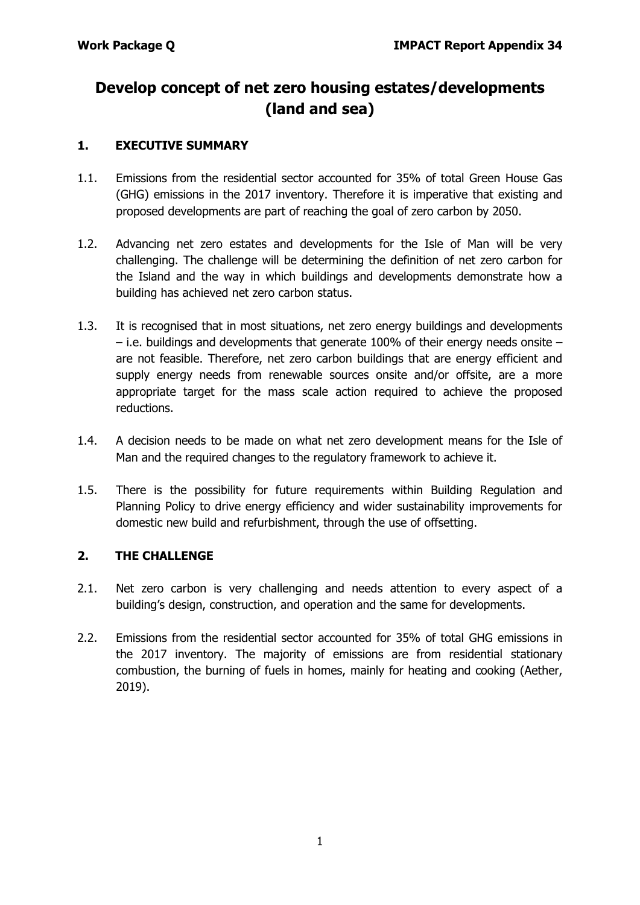# **Develop concept of net zero housing estates/developments (land and sea)**

## **1. EXECUTIVE SUMMARY**

- 1.1. Emissions from the residential sector accounted for 35% of total Green House Gas (GHG) emissions in the 2017 inventory. Therefore it is imperative that existing and proposed developments are part of reaching the goal of zero carbon by 2050.
- 1.2. Advancing net zero estates and developments for the Isle of Man will be very challenging. The challenge will be determining the definition of net zero carbon for the Island and the way in which buildings and developments demonstrate how a building has achieved net zero carbon status.
- 1.3. It is recognised that in most situations, net zero energy buildings and developments – i.e. buildings and developments that generate 100% of their energy needs onsite – are not feasible. Therefore, net zero carbon buildings that are energy efficient and supply energy needs from renewable sources onsite and/or offsite, are a more appropriate target for the mass scale action required to achieve the proposed reductions.
- 1.4. A decision needs to be made on what net zero development means for the Isle of Man and the required changes to the regulatory framework to achieve it.
- 1.5. There is the possibility for future requirements within Building Regulation and Planning Policy to drive energy efficiency and wider sustainability improvements for domestic new build and refurbishment, through the use of offsetting.

#### **2. THE CHALLENGE**

- 2.1. Net zero carbon is very challenging and needs attention to every aspect of a building's design, construction, and operation and the same for developments.
- 2.2. Emissions from the residential sector accounted for 35% of total GHG emissions in the 2017 inventory. The majority of emissions are from residential stationary combustion, the burning of fuels in homes, mainly for heating and cooking (Aether, 2019).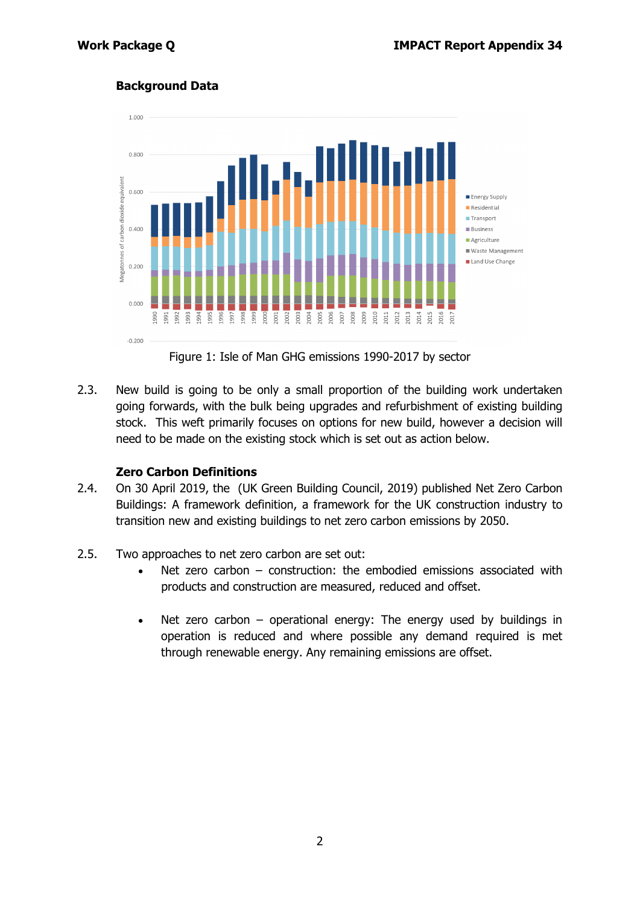## **Background Data**



Figure 1: Isle of Man GHG emissions 1990-2017 by sector

2.3. New build is going to be only a small proportion of the building work undertaken going forwards, with the bulk being upgrades and refurbishment of existing building stock. This weft primarily focuses on options for new build, however a decision will need to be made on the existing stock which is set out as action below.

#### **Zero Carbon Definitions**

- 2.4. On 30 April 2019, the (UK Green Building Council, 2019) published Net Zero Carbon Buildings: A framework definition, a framework for the UK construction industry to transition new and existing buildings to net zero carbon emissions by 2050.
- 2.5. Two approaches to net zero carbon are set out:
	- Net zero carbon  $-$  construction: the embodied emissions associated with products and construction are measured, reduced and offset.
	- Net zero carbon operational energy: The energy used by buildings in operation is reduced and where possible any demand required is met through renewable energy. Any remaining emissions are offset.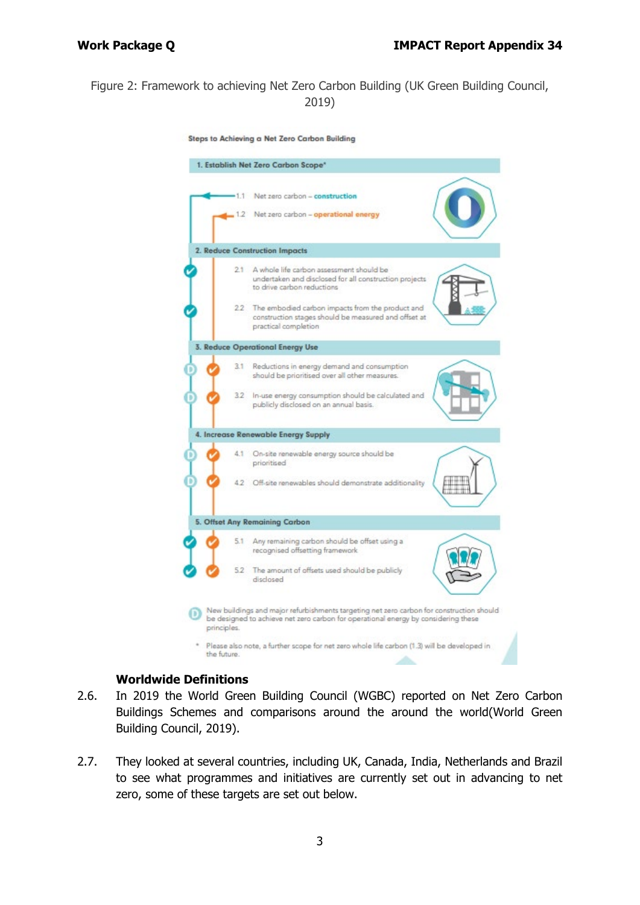## Figure 2: Framework to achieving Net Zero Carbon Building (UK Green Building Council, 2019)

Steps to Achieving a Net Zero Carbon Building



#### **Worldwide Definitions**

- 2.6. In 2019 the World Green Building Council (WGBC) reported on Net Zero Carbon Buildings Schemes and comparisons around the around the world(World Green Building Council, 2019).
- 2.7. They looked at several countries, including UK, Canada, India, Netherlands and Brazil to see what programmes and initiatives are currently set out in advancing to net zero, some of these targets are set out below.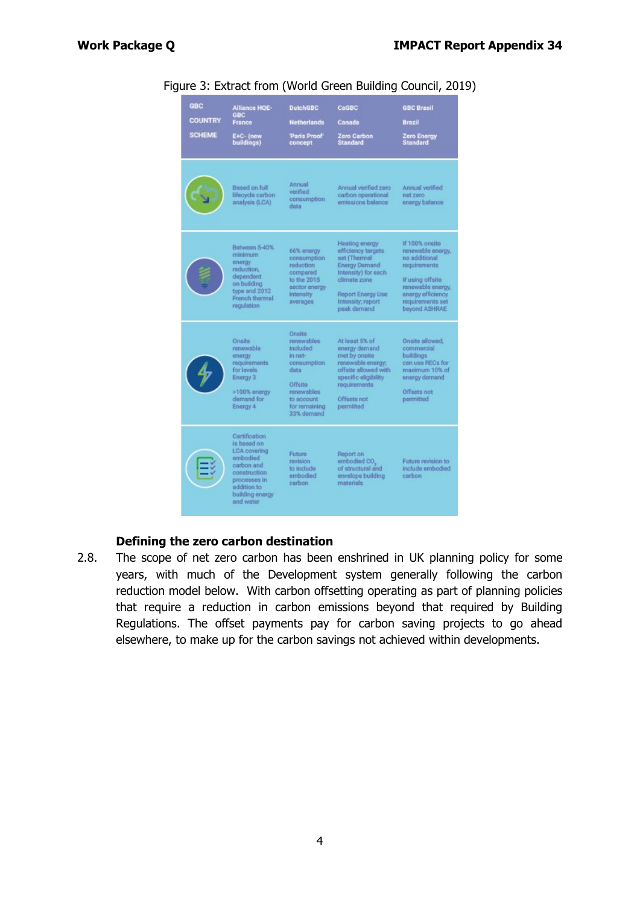| <b>GBC</b><br><b>COUNTRY</b><br><b>SCHEME</b> | <b>Alliance HOE-</b><br><b>GBC</b><br>France<br>E+C- (new<br>buildings)                                                                                | <b>DutchGBC</b><br><b>Netherlands</b><br>Paris Proof<br>concept                                                                          | CaGBC<br>Canada<br>Zero Carbon<br>Standard                                                                                                                             | <b>GBC Brasil</b><br>Brazil<br><b>Zero Energy</b><br><b>Standard</b>                                                                                                    |
|-----------------------------------------------|--------------------------------------------------------------------------------------------------------------------------------------------------------|------------------------------------------------------------------------------------------------------------------------------------------|------------------------------------------------------------------------------------------------------------------------------------------------------------------------|-------------------------------------------------------------------------------------------------------------------------------------------------------------------------|
|                                               | Based on full<br>lifecycle carbon<br>analysis (LCA)                                                                                                    | Annual<br>verified.<br>consumption<br>data                                                                                               | Annual verified zero<br>carbon operational<br>emissions balance                                                                                                        | Annual verified<br>net zero<br>energy balance                                                                                                                           |
|                                               | Between 5-40%<br>minimum<br>energy<br>reduction,<br>dependent.<br>on building<br>type and 2012<br>French thermal<br>regulation.                        | 66% energy<br>consumption<br>reduction<br>compared<br>to the 2015<br>sector energy<br>intensity<br>averages                              | Heating energy<br>efficiency targets<br>set (Thermal)<br>Energy Demand<br>Intensity) for each<br>climate zone<br>Report Energy Use<br>Intensity; report<br>peak demand | If 100% onsite<br>renewable energy,<br>to additional<br>requirements<br>If using offsite<br>renewable energy,<br>energy efficiency<br>requirements set<br>beyond ASHRAE |
|                                               | <b>Onsite</b><br>renowable<br>energy<br>requirements<br>for levels<br>Energy 3<br>>100% energy<br>demand for<br>Energy 4                               | Onsite<br>renowables<br>included<br>in net-<br>consumption<br>data<br>Offsite<br>renewables<br>to account<br>for remaining<br>33% demand | At least 5% of<br>energy demand<br>met by onsite<br>renewable energy:<br>offsite allowed with<br>specific eligibility<br>requirements<br>Offsets not<br>permitted      | Onsite allowed.<br>commercial<br>buildings<br>can use RECs for<br>maximum 10% of<br>energy demand<br>Offsets not<br>permitted                                           |
|                                               | Certification<br>is based on<br>LCA covering<br>embodied<br>carbon and<br>construction.<br>processes in<br>addition to<br>building energy<br>and water | Future.<br>revision.<br>to include<br>embodied<br>carbon                                                                                 | Report on<br>embodied CO.<br>of structural and<br>envelope building<br>materials                                                                                       | Future revision to<br>include embodied<br>carbon                                                                                                                        |

Figure 3: Extract from (World Green Building Council, 2019)

#### **Defining the zero carbon destination**

2.8. The scope of net zero carbon has been enshrined in UK planning policy for some years, with much of the Development system generally following the carbon reduction model below. With carbon offsetting operating as part of planning policies that require a reduction in carbon emissions beyond that required by Building Regulations. The offset payments pay for carbon saving projects to go ahead elsewhere, to make up for the carbon savings not achieved within developments.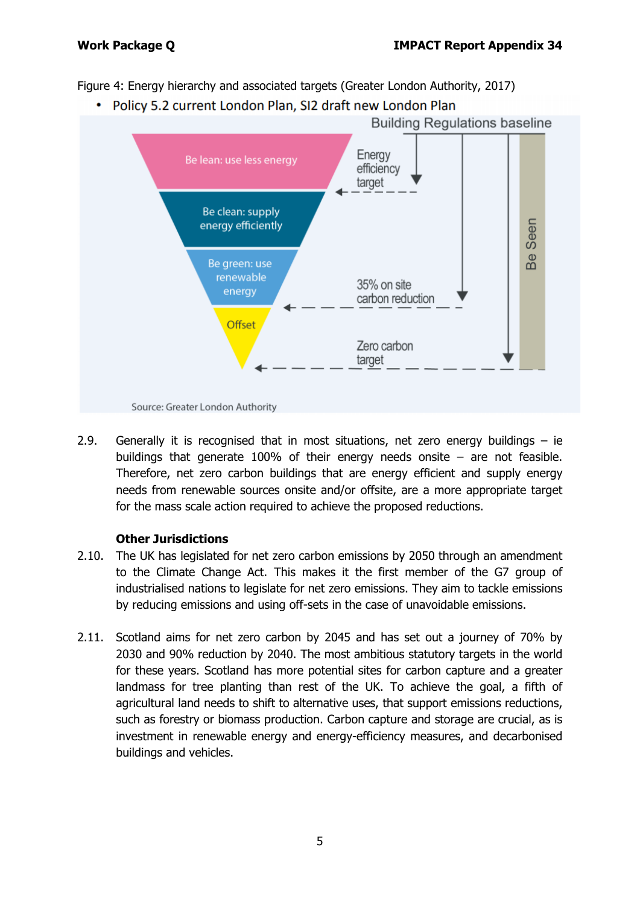Figure 4: Energy hierarchy and associated targets (Greater London Authority, 2017)

• Policy 5.2 current London Plan, SI2 draft new London Plan



2.9. Generally it is recognised that in most situations, net zero energy buildings – ie buildings that generate 100% of their energy needs onsite  $-$  are not feasible. Therefore, net zero carbon buildings that are energy efficient and supply energy needs from renewable sources onsite and/or offsite, are a more appropriate target for the mass scale action required to achieve the proposed reductions.

#### **Other Jurisdictions**

- 2.10. The UK has legislated for net zero carbon emissions by 2050 through an amendment to the Climate Change Act. This makes it the first member of the G7 group of industrialised nations to legislate for net zero emissions. They aim to tackle emissions by reducing emissions and using off-sets in the case of unavoidable emissions.
- 2.11. Scotland aims for net zero carbon by 2045 and has set out a journey of 70% by 2030 and 90% reduction by 2040. The most ambitious statutory targets in the world for these years. Scotland has more potential sites for carbon capture and a greater landmass for tree planting than rest of the UK. To achieve the goal, a fifth of agricultural land needs to shift to alternative uses, that support emissions reductions, such as forestry or biomass production. Carbon capture and storage are crucial, as is investment in renewable energy and energy-efficiency measures, and decarbonised buildings and vehicles.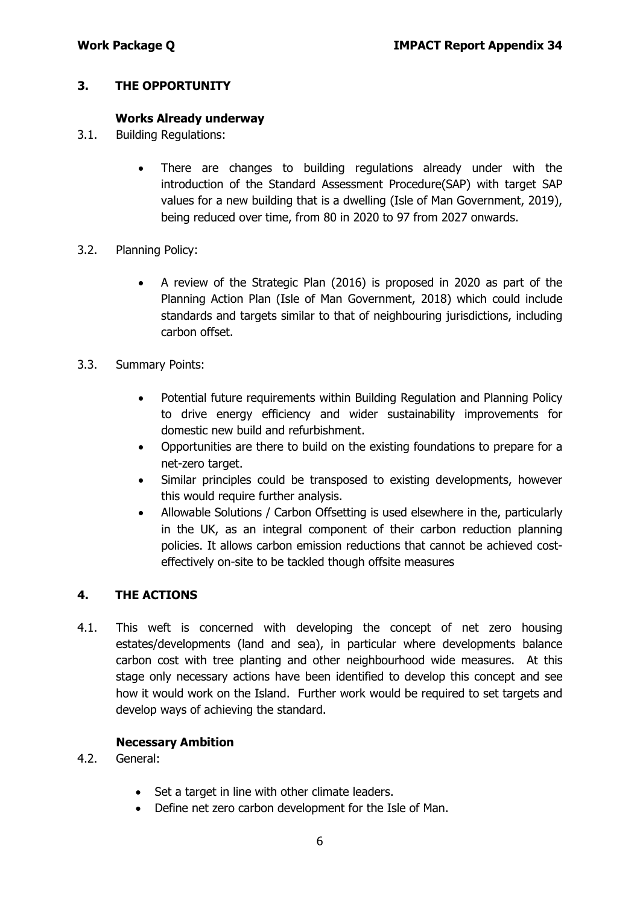### **3. THE OPPORTUNITY**

#### **Works Already underway**

- 3.1. Building Regulations:
	- There are changes to building regulations already under with the introduction of the Standard Assessment Procedure(SAP) with target SAP values for a new building that is a dwelling (Isle of Man Government, 2019), being reduced over time, from 80 in 2020 to 97 from 2027 onwards.
- 3.2. Planning Policy:
	- A review of the Strategic Plan (2016) is proposed in 2020 as part of the Planning Action Plan (Isle of Man Government, 2018) which could include standards and targets similar to that of neighbouring jurisdictions, including carbon offset.
- 3.3. Summary Points:
	- Potential future requirements within Building Regulation and Planning Policy to drive energy efficiency and wider sustainability improvements for domestic new build and refurbishment.
	- Opportunities are there to build on the existing foundations to prepare for a net-zero target.
	- Similar principles could be transposed to existing developments, however this would require further analysis.
	- Allowable Solutions / Carbon Offsetting is used elsewhere in the, particularly in the UK, as an integral component of their carbon reduction planning policies. It allows carbon emission reductions that cannot be achieved costeffectively on-site to be tackled though offsite measures

#### **4. THE ACTIONS**

4.1. This weft is concerned with developing the concept of net zero housing estates/developments (land and sea), in particular where developments balance carbon cost with tree planting and other neighbourhood wide measures. At this stage only necessary actions have been identified to develop this concept and see how it would work on the Island. Further work would be required to set targets and develop ways of achieving the standard.

#### **Necessary Ambition**

- 4.2. General:
	- Set a target in line with other climate leaders.
	- Define net zero carbon development for the Isle of Man.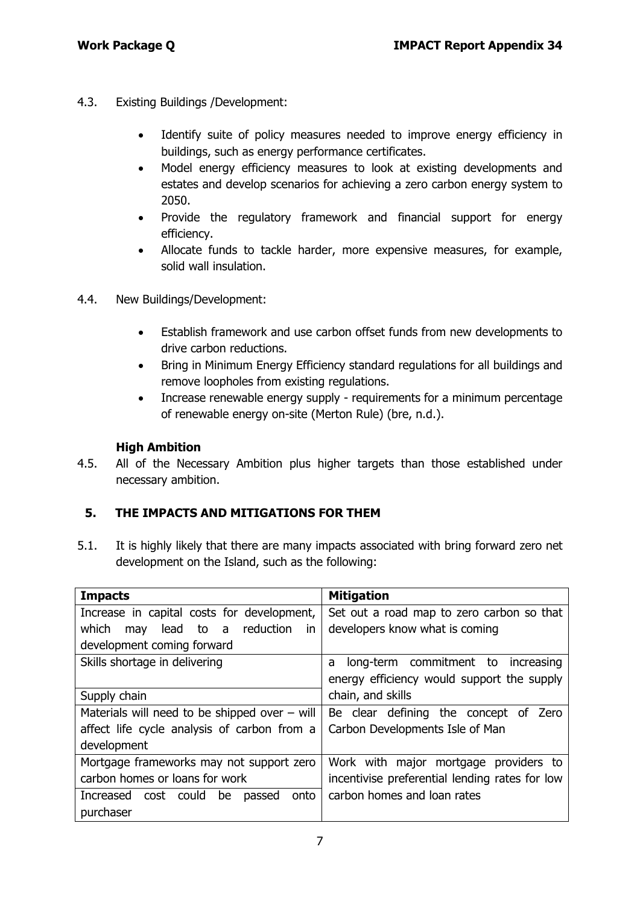- 4.3. Existing Buildings /Development:
	- Identify suite of policy measures needed to improve energy efficiency in buildings, such as energy performance certificates.
	- Model energy efficiency measures to look at existing developments and estates and develop scenarios for achieving a zero carbon energy system to 2050.
	- Provide the regulatory framework and financial support for energy efficiency.
	- Allocate funds to tackle harder, more expensive measures, for example, solid wall insulation.
- 4.4. New Buildings/Development:
	- Establish framework and use carbon offset funds from new developments to drive carbon reductions.
	- Bring in Minimum Energy Efficiency standard regulations for all buildings and remove loopholes from existing regulations.
	- Increase renewable energy supply requirements for a minimum percentage of renewable energy on-site (Merton Rule) (bre, n.d.).

#### **High Ambition**

4.5. All of the Necessary Ambition plus higher targets than those established under necessary ambition.

#### **5. THE IMPACTS AND MITIGATIONS FOR THEM**

5.1. It is highly likely that there are many impacts associated with bring forward zero net development on the Island, such as the following:

| <b>Impacts</b>                                  | <b>Mitigation</b>                              |  |
|-------------------------------------------------|------------------------------------------------|--|
| Increase in capital costs for development,      | Set out a road map to zero carbon so that      |  |
| which<br>lead to a<br>reduction<br>may<br>in.   | developers know what is coming                 |  |
| development coming forward                      |                                                |  |
| Skills shortage in delivering                   | long-term commitment to increasing<br>a        |  |
|                                                 | energy efficiency would support the supply     |  |
| Supply chain                                    | chain, and skills                              |  |
| Materials will need to be shipped over $-$ will | Be clear defining the concept<br>Zero<br>0f    |  |
| affect life cycle analysis of carbon from a     | Carbon Developments Isle of Man                |  |
| development                                     |                                                |  |
| Mortgage frameworks may not support zero        | Work with major mortgage providers to          |  |
| carbon homes or loans for work                  | incentivise preferential lending rates for low |  |
| Increased cost could<br>be<br>onto<br>passed    | carbon homes and loan rates                    |  |
| purchaser                                       |                                                |  |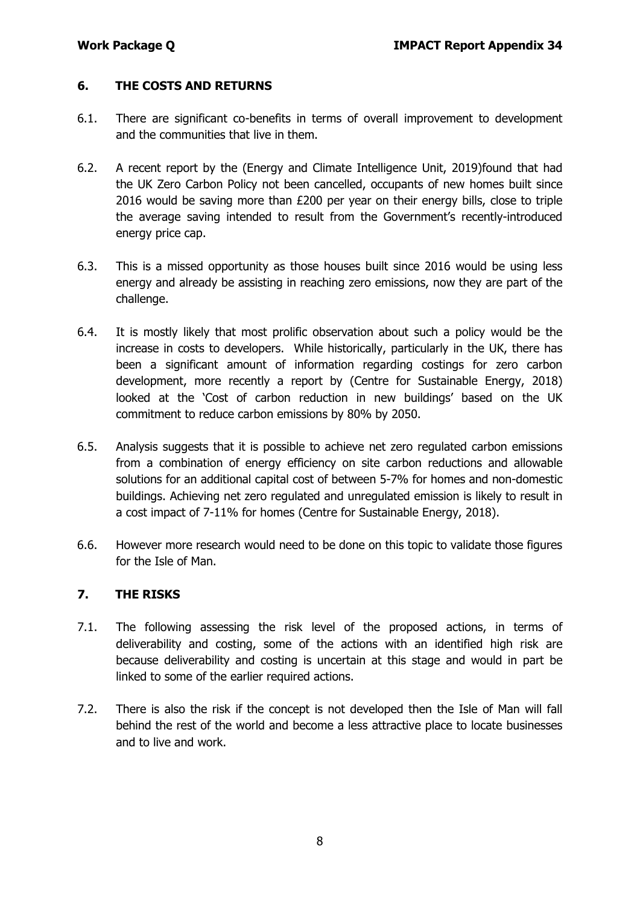### **6. THE COSTS AND RETURNS**

- 6.1. There are significant co-benefits in terms of overall improvement to development and the communities that live in them.
- 6.2. A recent report by the (Energy and Climate Intelligence Unit, 2019)found that had the UK Zero Carbon Policy not been cancelled, occupants of new homes built since 2016 would be saving more than £200 per year on their energy bills, close to triple the average saving intended to result from the Government's recently-introduced energy price cap.
- 6.3. This is a missed opportunity as those houses built since 2016 would be using less energy and already be assisting in reaching zero emissions, now they are part of the challenge.
- 6.4. It is mostly likely that most prolific observation about such a policy would be the increase in costs to developers. While historically, particularly in the UK, there has been a significant amount of information regarding costings for zero carbon development, more recently a report by (Centre for Sustainable Energy, 2018) looked at the 'Cost of carbon reduction in new buildings' based on the UK commitment to reduce carbon emissions by 80% by 2050.
- 6.5. Analysis suggests that it is possible to achieve net zero regulated carbon emissions from a combination of energy efficiency on site carbon reductions and allowable solutions for an additional capital cost of between 5-7% for homes and non-domestic buildings. Achieving net zero regulated and unregulated emission is likely to result in a cost impact of 7-11% for homes (Centre for Sustainable Energy, 2018).
- 6.6. However more research would need to be done on this topic to validate those figures for the Isle of Man.

#### **7. THE RISKS**

- 7.1. The following assessing the risk level of the proposed actions, in terms of deliverability and costing, some of the actions with an identified high risk are because deliverability and costing is uncertain at this stage and would in part be linked to some of the earlier required actions.
- 7.2. There is also the risk if the concept is not developed then the Isle of Man will fall behind the rest of the world and become a less attractive place to locate businesses and to live and work.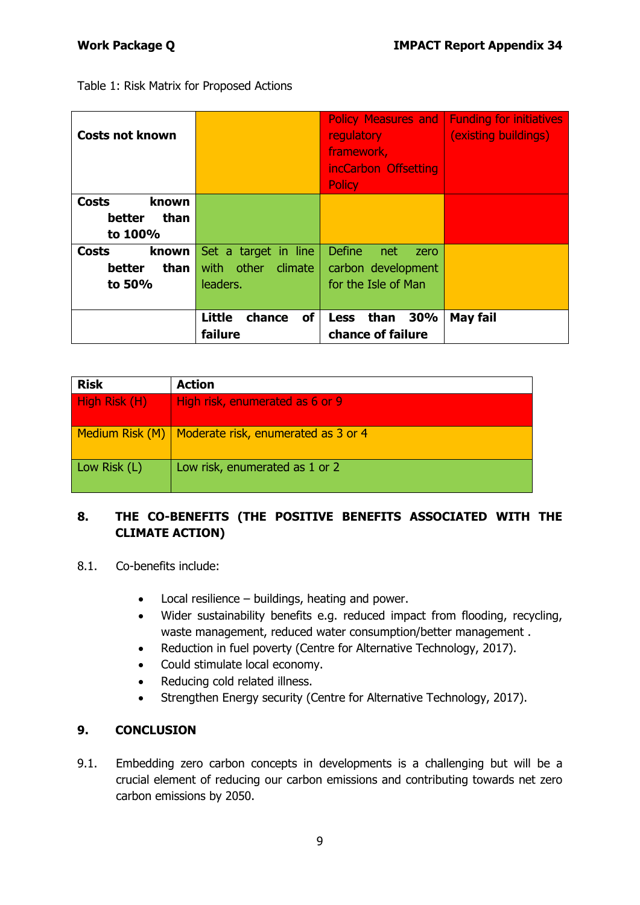Table 1: Risk Matrix for Proposed Actions

| <b>Costs not known</b>                             |                                                           | <b>Policy Measures and  </b><br><b>regulatory</b><br>framework,<br>incCarbon Offsetting<br><b>Policy</b> | <b>Funding for initiatives</b><br>(existing buildings) |
|----------------------------------------------------|-----------------------------------------------------------|----------------------------------------------------------------------------------------------------------|--------------------------------------------------------|
| <b>Costs</b><br>known<br>than<br>better<br>to 100% |                                                           |                                                                                                          |                                                        |
| <b>Costs</b><br>known<br>than<br>better<br>to 50%  | Set a target in line<br>other climate<br>with<br>leaders. | <b>Define</b><br>net<br>zero<br>carbon development<br>for the Isle of Man                                |                                                        |
|                                                    | <b>Little</b><br>of<br>chance<br>failure                  | than<br>30%<br><b>Less</b><br>chance of failure                                                          | <b>May fail</b>                                        |

| <b>Risk</b>   | <b>Action</b>                                         |
|---------------|-------------------------------------------------------|
| High Risk (H) | High risk, enumerated as 6 or 9                       |
|               | Medium Risk (M)   Moderate risk, enumerated as 3 or 4 |
| Low Risk (L)  | Low risk, enumerated as 1 or 2                        |

## **8. THE CO-BENEFITS (THE POSITIVE BENEFITS ASSOCIATED WITH THE CLIMATE ACTION)**

- 8.1. Co-benefits include:
	- Local resilience buildings, heating and power.
	- Wider sustainability benefits e.g. reduced impact from flooding, recycling, waste management, reduced water consumption/better management .
	- Reduction in fuel poverty (Centre for Alternative Technology, 2017).
	- Could stimulate local economy.
	- Reducing cold related illness.
	- Strengthen Energy security (Centre for Alternative Technology, 2017).

#### **9. CONCLUSION**

9.1. Embedding zero carbon concepts in developments is a challenging but will be a crucial element of reducing our carbon emissions and contributing towards net zero carbon emissions by 2050.